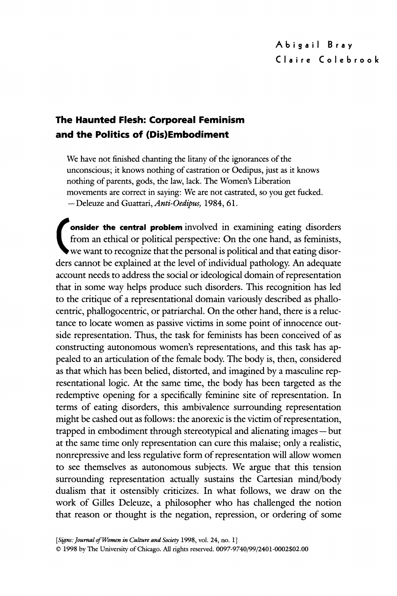# **The Haunted Flesh: Corporeal Feminism and the Politics of (Dis)Embodiment**

**We have not finished chanting the litany of the ignorances of the unconscious; it knows nothing of castration or Oedipus, just as it knows nothing of parents, gods, the law, lack. The Women's Liberation movements are correct in saying: We are not castrated, so you get fucked. -Deleuze and Guattari, Anti-Oedipus, 1984, 61.** 

**(onsider the central problem involved in examining eating disorders from an ethical or political perspective: On the one hand, as feminists, we want to recognize that the personal is political and that eating disorders cannot be explained at the level of individual pathology. An adequate account needs to address the social or ideological domain of representation that in some way helps produce such disorders. This recognition has led to the critique of a representational domain variously described as phallocentric, phallogocentric, or patriarchal. On the other hand, there is a reluctance to locate women as passive victims in some point of innocence outside representation. Thus, the task for feminists has been conceived of as constructing autonomous women's representations, and this task has appealed to an articulation of the female body. The body is, then, considered as that which has been belied, distorted, and imagined by a masculine representational logic. At the same time, the body has been targeted as the redemptive opening for a specifically feminine site of representation. In terms of eating disorders, this ambivalence surrounding representation might be cashed out as follows: the anorexic is the victim of representation, trapped in embodiment through stereotypical and alienating images - but at the same time only representation can cure this malaise; only a realistic, nonrepressive and less regulative form of representation will allow women to see themselves as autonomous subjects. We argue that this tension surrounding representation actually sustains the Cartesian mind/body dualism that it ostensibly criticizes. In what follows, we draw on the work of Gilles Deleuze, a philosopher who has challenged the notion that reason or thought is the negation, repression, or ordering of some**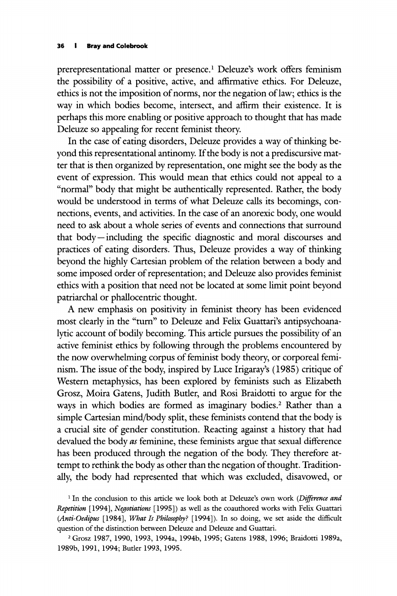**prerepresentational matter or presence.' Deleuze's work offers feminism the possibility of a positive, active, and affirmative ethics. For Deleuze, ethics is not the imposition of norms, nor the negation of law; ethics is the way in which bodies become, intersect, and affirm their existence. It is perhaps this more enabling or positive approach to thought that has made Deleuze so appealing for recent feminist theory.** 

**In the case of eating disorders, Deleuze provides a way of thinking beyond this representational antinomy. If the body is not a prediscursive matter that is then organized by representation, one might see the body as the event of expression. This would mean that ethics could not appeal to a "normal" body that might be authentically represented. Rather, the body would be understood in terms of what Deleuze calls its becomings, connections, events, and activities. In the case of an anorexic body, one would need to ask about a whole series of events and connections that surround that body--including the specific diagnostic and moral discourses and practices of eating disorders. Thus, Deleuze provides a way of thinking beyond the highly Cartesian problem of the relation between a body and some imposed order of representation; and Deleuze also provides feminist ethics with a position that need not be located at some limit point beyond patriarchal or phallocentric thought.** 

**A new emphasis on positivity in feminist theory has been evidenced most clearly in the "turn" to Deleuze and Felix Guattari's antipsychoanalytic account of bodily becoming. This article pursues the possibility of an active feminist ethics by following through the problems encountered by the now overwhelming corpus of feminist body theory, or corporeal feminism. The issue of the body, inspired by Luce Irigaray's (1985) critique of Western metaphysics, has been explored by feminists such as Elizabeth Grosz, Moira Gatens, Judith Butler, and Rosi Braidotti to argue for the ways in which bodies are formed as imaginary bodies.2 Rather than a simple Cartesian mind/body split, these feminists contend that the body is a crucial site of gender constitution. Reacting against a history that had devalued the body as feminine, these feminists argue that sexual difference has been produced through the negation of the body. They therefore attempt to rethink the body as other than the negation of thought. Traditionally, the body had represented that which was excluded, disavowed, or** 

**In the conclusion to this article we look both at Deleuze's own work (Difference and Repetition [1994], Negotiations [1995]) as well as the coauthored works with Felix Guattari (Anti-Oedipus [1984], What Is Philosophy? [1994]). In so doing, we set aside the difficult question of the distinction between Deleuze and Deleuze and Guattari.** 

**<sup>2</sup>Grosz 1987, 1990, 1993, 1994a, 1994b, 1995; Gatens 1988, 1996; Braidotti 1989a, 1989b, 1991, 1994; Butler 1993, 1995.**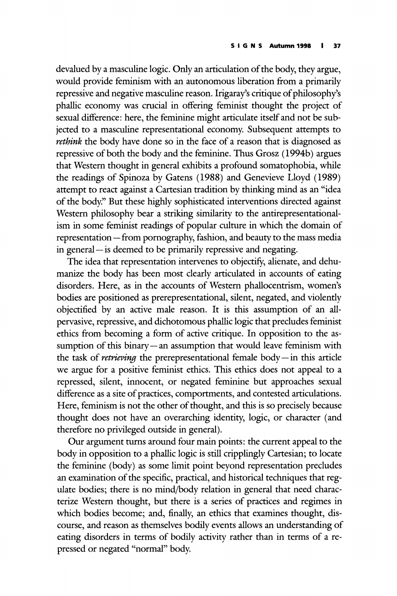**devalued by a masculine logic. Only an articulation of the body, they argue, would provide feminism with an autonomous liberation from a primarily repressive and negative masculine reason. Irigaray's critique of philosophy's phallic economy was crucial in offering feminist thought the project of sexual difference: here, the feminine might articulate itself and not be subjected to a masculine representational economy. Subsequent attempts to rethink the body have done so in the face of a reason that is diagnosed as repressive of both the body and the feminine. Thus Grosz (1994b) argues that Western thought in general exhibits a profound somatophobia, while the readings of Spinoza by Gatens (1988) and Genevieve Lloyd (1989) attempt to react against a Cartesian tradition by thinking mind as an "idea of the body." But these highly sophisticated interventions directed against Western philosophy bear a striking similarity to the antirepresentationalism in some feminist readings of popular culture in which the domain of representation - from pornography, fashion, and beauty to the mass media**  in general – is deemed to be primarily repressive and negating.

**The idea that representation intervenes to objectify, alienate, and dehumanize the body has been most clearly articulated in accounts of eating disorders. Here, as in the accounts of Western phallocentrism, women's bodies are positioned as prerepresentational, silent, negated, and violently objectified by an active male reason. It is this assumption of an allpervasive, repressive, and dichotomous phallic logic that precludes feminist ethics from becoming a form of active critique. In opposition to the as**sumption of this binary--an assumption that would leave feminism with **the task of retrieving the prerepresentational female body- in this article we argue for a positive feminist ethics. This ethics does not appeal to a repressed, silent, innocent, or negated feminine but approaches sexual difference as a site of practices, comportments, and contested articulations. Here, feminism is not the other of thought, and this is so precisely because thought does not have an overarching identity, logic, or character (and therefore no privileged outside in general).** 

**Our argument turns around four main points: the current appeal to the body in opposition to a phallic logic is still cripplingly Cartesian; to locate the feminine (body) as some limit point beyond representation precludes an examination of the specific, practical, and historical techniques that regulate bodies; there is no mind/body relation in general that need characterize Western thought, but there is a series of practices and regimes in which bodies become; and, finally, an ethics that examines thought, discourse, and reason as themselves bodily events allows an understanding of eating disorders in terms of bodily activity rather than in terms of a repressed or negated "normal" body.**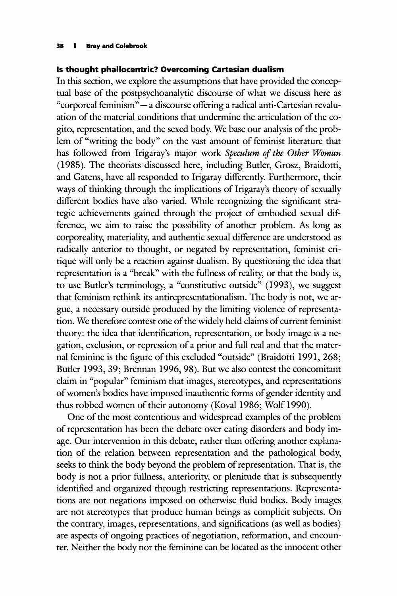## **Is thought phallocentric? Overcoming Cartesian dualism**

**In this section, we explore the assumptions that have provided the conceptual base of the postpsychoanalytic discourse of what we discuss here as "corporeal feminism"-- a discourse offering a radical anti-Cartesian revaluation of the material conditions that undermine the articulation of the cogito, representation, and the sexed body. We base our analysis of the problem of "writing the body" on the vast amount of feminist literature that has followed from Irigaray's major work Speculum of the Other Woman (1985). The theorists discussed here, including Butler, Grosz, Braidotti, and Gatens, have all responded to Irigaray differently. Furthermore, their ways of thinking through the implications of Irigaray's theory of sexually different bodies have also varied. While recognizing the significant strategic achievements gained through the project of embodied sexual difference, we aim to raise the possibility of another problem. As long as corporeality, materiality, and authentic sexual difference are understood as radically anterior to thought, or negated by representation, feminist critique will only be a reaction against dualism. By questioning the idea that representation is a "break" with the fullness of reality, or that the body is, to use Butler's terminology, a "constitutive outside" (1993), we suggest that feminism rethink its antirepresentationalism. The body is not, we argue, a necessary outside produced by the limiting violence of representation. We therefore contest one of the widely held claims of current feminist theory: the idea that identification, representation, or body image is a negation, exclusion, or repression of a prior and full real and that the maternal feminine is the figure of this excluded "outside" (Braidotti 1991, 268; Butler 1993, 39; Brennan 1996, 98). But we also contest the concomitant claim in "popular" feminism that images, stereotypes, and representations of women's bodies have imposed inauthentic forms of gender identity and thus robbed women of their autonomy (Koval 1986; Wolf 1990).** 

**One of the most contentious and widespread examples of the problem of representation has been the debate over eating disorders and body image. Our intervention in this debate, rather than offering another explanation of the relation between representation and the pathological body, seeks to think the body beyond the problem of representation. That is, the body is not a prior fullness, anteriority, or plenitude that is subsequently identified and organized through restricting representations. Representations are not negations imposed on otherwise fluid bodies. Body images are not stereotypes that produce human beings as complicit subjects. On the contrary, images, representations, and significations (as well as bodies) are aspects of ongoing practices of negotiation, reformation, and encounter. Neither the body nor the feminine can be located as the innocent other**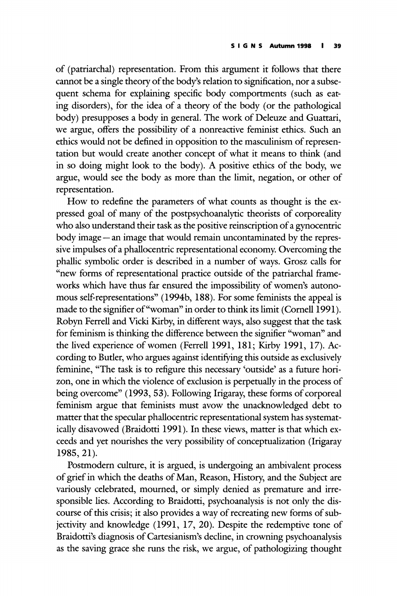**of (patriarchal) representation. From this argument it follows that there cannot be a single theory of the body's relation to signification, nor a subsequent schema for explaining specific body comportments (such as eating disorders), for the idea of a theory of the body (or the pathological body) presupposes a body in general. The work of Deleuze and Guattari, we argue, offers the possibility of a nonreactive feminist ethics. Such an ethics would not be defined in opposition to the masculinism of representation but would create another concept of what it means to think (and in so doing might look to the body). A positive ethics of the body, we argue, would see the body as more than the limit, negation, or other of representation.** 

**How to redefine the parameters of what counts as thought is the expressed goal of many of the postpsychoanalytic theorists of corporeality who also understand their task as the positive reinscription of a gynocentric body image - an image that would remain uncontaminated by the repressive impulses of a phallocentric representational economy. Overcoming the phallic symbolic order is described in a number of ways. Grosz calls for "new forms of representational practice outside of the patriarchal frameworks which have thus far ensured the impossibility of women's autonomous self-representations" (1994b, 188). For some feminists the appeal is made to the signifier of"woman" in order to think its limit (Cornell 1991). Robyn Ferrell and Vicki Kirby, in different ways, also suggest that the task for feminism is thinking the difference between the signifier "woman" and the lived experience of women (Ferrell 1991, 181; Kirby 1991, 17). According to Butler, who argues against identifying this outside as exclusively feminine, "The task is to refigure this necessary 'outside' as a future horizon, one in which the violence of exclusion is perpetually in the process of being overcome" (1993, 53). Following Irigaray, these forms of corporeal feminism argue that feminists must avow the unacknowledged debt to matter that the specular phallocentric representational system has systematically disavowed (Braidotti 1991). In these views, matter is that which exceeds and yet nourishes the very possibility of conceptualization (Irigaray 1985, 21).** 

**Postmodern culture, it is argued, is undergoing an ambivalent process of grief in which the deaths of Man, Reason, History, and the Subject are variously celebrated, mourned, or simply denied as premature and irresponsible lies. According to Braidotti, psychoanalysis is not only the discourse of this crisis; it also provides a way of recreating new forms of subjectivity and knowledge (1991, 17, 20). Despite the redemptive tone of Braidotti's diagnosis of Cartesianism's decline, in crowning psychoanalysis as the saving grace she runs the risk, we argue, of pathologizing thought**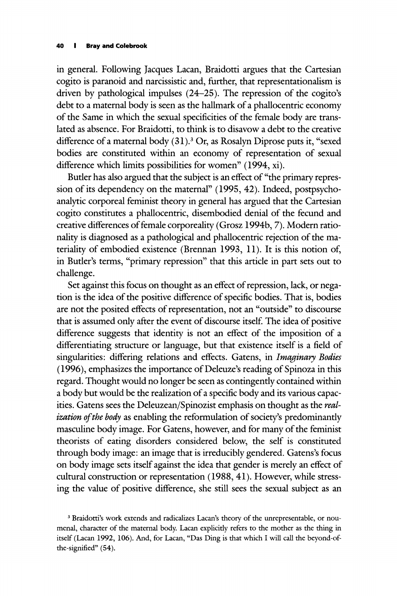**in general. Following Jacques Lacan, Braidotti argues that the Cartesian cogito is paranoid and narcissistic and, further, that representationalism is driven by pathological impulses (24-25). The repression of the cogito's debt to a maternal body is seen as the hallmark of a phallocentric economy of the Same in which the sexual specificities of the female body are translated as absence. For Braidotti, to think is to disavow a debt to the creative difference of a maternal body (31).3 Or, as Rosalyn Diprose puts it, "sexed bodies are constituted within an economy of representation of sexual difference which limits possibilities for women" (1994, xi).** 

**Butler has also argued that the subject is an effect of "the primary repression of its dependency on the maternal" (1995, 42). Indeed, postpsychoanalytic corporeal feminist theory in general has argued that the Cartesian cogito constitutes a phallocentric, disembodied denial of the fecund and creative differences of female corporeality (Grosz 1994b, 7). Modern rationality is diagnosed as a pathological and phallocentric rejection of the materiality of embodied existence (Brennan 1993, 11). It is this notion of, in Butler's terms, "primary repression" that this article in part sets out to challenge.** 

**Set against this focus on thought as an effect of repression, lack, or negation is the idea of the positive difference of specific bodies. That is, bodies are not the posited effects of representation, not an "outside" to discourse that is assumed only after the event of discourse itself. The idea of positive difference suggests that identity is not an effect of the imposition of a differentiating structure or language, but that existence itself is a field of singularities: differing relations and effects. Gatens, in Imaginary Bodies (1996), emphasizes the importance of Deleuze's reading of Spinoza in this regard. Thought would no longer be seen as contingently contained within a body but would be the realization of a specific body and its various capacities. Gatens sees the Deleuzean/Spinozist emphasis on thought as the realization of the body as enabling the reformulation of society's predominantly masculine body image. For Gatens, however, and for many of the feminist theorists of eating disorders considered below, the self is constituted through body image: an image that is irreducibly gendered. Gatens's focus on body image sets itself against the idea that gender is merely an effect of cultural construction or representation (1988, 41). However, while stressing the value of positive difference, she still sees the sexual subject as an** 

**<sup>3</sup> Braidotti's work extends and radicalizes Lacan's theory of the unrepresentable, or noumenal, character of the maternal body. Lacan explicitly refers to the mother as the thing in itself (Lacan 1992, 106). And, for Lacan, "Das Ding is that which I will call the beyond-ofthe-signified" (54).**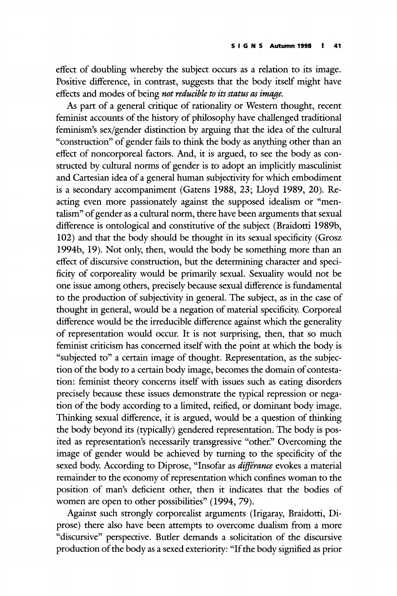**effect of doubling whereby the subject occurs as a relation to its image. Positive difference, in contrast, suggests that the body itself might have effects and modes of being not reducible to its status as image.** 

**As part of a general critique of rationality or Western thought, recent feminist accounts of the history of philosophy have challenged traditional feminism's sex/gender distinction by arguing that the idea of the cultural "construction" of gender fails to think the body as anything other than an effect of noncorporeal factors. And, it is argued, to see the body as constructed by cultural norms of gender is to adopt an implicitly masculinist and Cartesian idea of a general human subjectivity for which embodiment is a secondary accompaniment (Gatens 1988, 23; Lloyd 1989, 20). Reacting even more passionately against the supposed idealism or "mentalism" of gender as a cultural norm, there have been arguments that sexual difference is ontological and constitutive of the subject (Braidotti 1989b, 102) and that the body should be thought in its sexual specificity (Grosz 1994b, 19). Not only, then, would the body be something more than an effect of discursive construction, but the determining character and specificity of corporeality would be primarily sexual. Sexuality would not be one issue among others, precisely because sexual difference is fundamental to the production of subjectivity in general. The subject, as in the case of thought in general, would be a negation of material specificity. Corporeal difference would be the irreducible difference against which the generality of representation would occur. It is not surprising, then, that so much feminist criticism has concerned itself with the point at which the body is "subjected to" a certain image of thought. Representation, as the subjection of the body to a certain body image, becomes the domain of contestation: feminist theory concerns itself with issues such as eating disorders precisely because these issues demonstrate the typical repression or negation of the body according to a limited, reified, or dominant body image. Thinking sexual difference, it is argued, would be a question of thinking the body beyond its (typically) gendered representation. The body is posited as representation's necessarily transgressive "other." Overcoming the image of gender would be achieved by turning to the specificity of the**  sexed body. According to Diprose, "Insofar as *différance* evokes a material **remainder to the economy of representation which confines woman to the position of man's deficient other, then it indicates that the bodies of women are open to other possibilities" (1994, 79).** 

**Against such strongly corporealist arguments (Irigaray, Braidotti, Diprose) there also have been attempts to overcome dualism from a more "discursive" perspective. Butler demands a solicitation of the discursive production of the body as a sexed exteriority: "If the body signified as prior**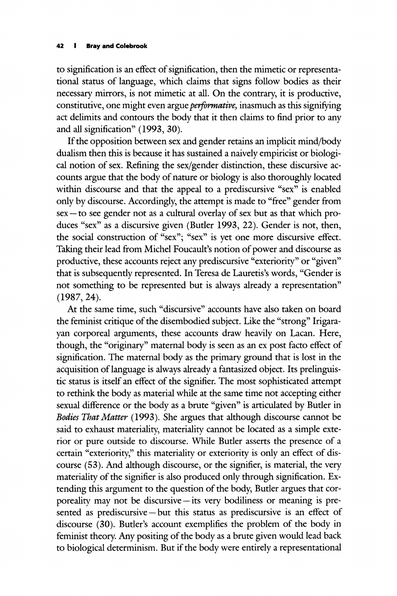**to signification is an effect of signification, then the mimetic or representational status of language, which claims that signs follow bodies as their necessary mirrors, is not mimetic at all. On the contrary, it is productive, constitutive, one might even argue performative, inasmuch as this signifying act delimits and contours the body that it then claims to find prior to any and all signification" (1993, 30).** 

**If the opposition between sex and gender retains an implicit mind/body dualism then this is because it has sustained a naively empiricist or biological notion of sex. Refining the sex/gender distinction, these discursive accounts argue that the body of nature or biology is also thoroughly located within discourse and that the appeal to a prediscursive "sex" is enabled only by discourse. Accordingly, the attempt is made to "free" gender from sex- to see gender not as a cultural overlay of sex but as that which produces "sex" as a discursive given (Butler 1993, 22). Gender is not, then, the social construction of "sex"; "sex" is yet one more discursive effect. Taking their lead from Michel Foucault's notion of power and discourse as productive, these accounts reject any prediscursive "exteriority" or "given" that is subsequently represented. In Teresa de Lauretis's words, "Gender is not something to be represented but is always already a representation" (1987, 24).** 

**At the same time, such "discursive" accounts have also taken on board the feminist critique of the disembodied subject. Like the "strong" Irigarayan corporeal arguments, these accounts draw heavily on Lacan. Here, though, the "originary" maternal body is seen as an ex post facto effect of signification. The maternal body as the primary ground that is lost in the acquisition of language is always already a fantasized object. Its prelinguistic status is itself an effect of the signifier. The most sophisticated attempt to rethink the body as material while at the same time not accepting either sexual difference or the body as a brute "given" is articulated by Butler in Bodies That Matter (1993). She argues that although discourse cannot be said to exhaust materiality, materiality cannot be located as a simple exterior or pure outside to discourse. While Butler asserts the presence of a certain "exteriority," this materiality or exteriority is only an effect of discourse (53). And although discourse, or the signifier, is material, the very materiality of the signifier is also produced only through signification. Extending this argument to the question of the body, Butler argues that cor**poreality may not be discursive - its very bodiliness or meaning is presented as prediscursive-but this status as prediscursive is an effect of **discourse (30). Butler's account exemplifies the problem of the body in feminist theory. Any positing of the body as a brute given would lead back to biological determinism. But if the body were entirely a representational**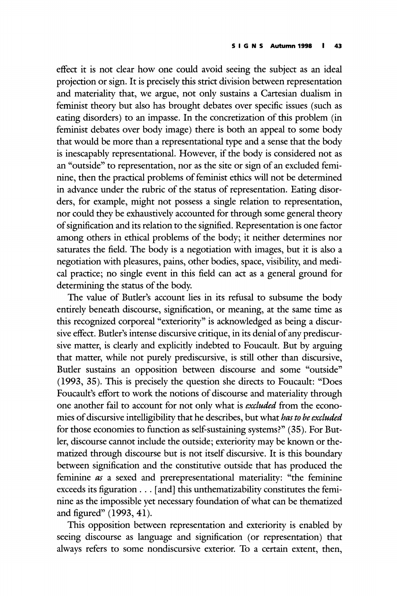**effect it is not clear how one could avoid seeing the subject as an ideal projection or sign. It is precisely this strict division between representation and materiality that, we argue, not only sustains a Cartesian dualism in feminist theory but also has brought debates over specific issues (such as eating disorders) to an impasse. In the concretization of this problem (in feminist debates over body image) there is both an appeal to some body that would be more than a representational type and a sense that the body is inescapably representational. However, if the body is considered not as an "outside" to representation, nor as the site or sign of an excluded feminine, then the practical problems of feminist ethics will not be determined in advance under the rubric of the status of representation. Eating disorders, for example, might not possess a single relation to representation, nor could they be exhaustively accounted for through some general theory of signification and its relation to the signified. Representation is one factor among others in ethical problems of the body; it neither determines nor saturates the field. The body is a negotiation with images, but it is also a negotiation with pleasures, pains, other bodies, space, visibility, and medical practice; no single event in this field can act as a general ground for determining the status of the body.** 

**The value of Butler's account lies in its refusal to subsume the body entirely beneath discourse, signification, or meaning, at the same time as this recognized corporeal "exteriority" is acknowledged as being a discursive effect. Butler's intense discursive critique, in its denial of any prediscursive matter, is clearly and explicitly indebted to Foucault. But by arguing that matter, while not purely prediscursive, is still other than discursive, Butler sustains an opposition between discourse and some "outside" (1993, 35). This is precisely the question she directs to Foucault: "Does Foucault's effort to work the notions of discourse and materiality through one another fail to account for not only what is excluded from the economies of discursive intelligibility that he describes, but what has to be excluded for those economies to function as self-sustaining systems?" (35). For Butler, discourse cannot include the outside; exteriority may be known or thematized through discourse but is not itself discursive. It is this boundary between signification and the constitutive outside that has produced the feminine as a sexed and prerepresentational materiality: "the feminine exceeds its figuration ... [and] this unthematizability constitutes the feminine as the impossible yet necessary foundation of what can be thematized and figured" (1993, 41).** 

**This opposition between representation and exteriority is enabled by seeing discourse as language and signification (or representation) that always refers to some nondiscursive exterior. To a certain extent, then,**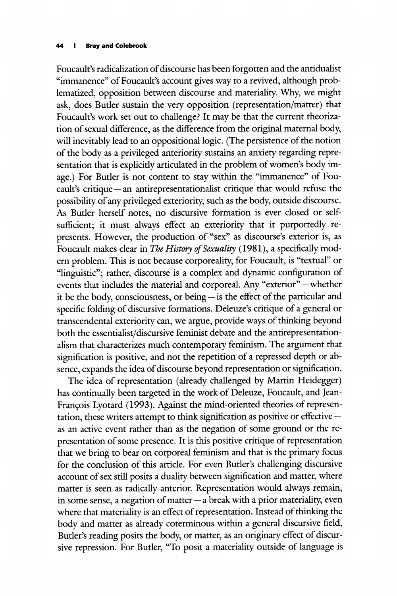#### **44 I Bray and Colebrook**

**Foucault's radicalization of discourse has been forgotten and the antidualist "immanence" of Foucault's account gives way to a revived, although problematized, opposition between discourse and materiality. Why, we might ask, does Butler sustain the very opposition (representation/matter) that Foucault's work set out to challenge? It may be that the current theorization of sexual difference, as the difference from the original maternal body, will inevitably lead to an oppositional logic. (The persistence of the notion of the body as a privileged anteriority sustains an anxiety regarding representation that is explicitly articulated in the problem of women's body image.) For Butler is not content to stay within the "immanence" of Fou**cault's critique-an antirepresentationalist critique that would refuse the **possibility of any privileged exteriority, such as the body, outside discourse. As Butler herself notes, no discursive formation is ever closed or selfsufficient; it must always effect an exteriority that it purportedly represents. However, the production of "sex" as discourse's exterior is, as**  Foucault makes clear in The History of Sexuality (1981), a specifically mod**ern problem. This is not because corporeality, for Foucault, is "textual" or "linguistic"; rather, discourse is a complex and dynamic configuration of**  events that includes the material and corporeal. Any "exterior" - whether it be the body, consciousness, or being - is the effect of the particular and **specific folding of discursive formations. Deleuze's critique of a general or transcendental exteriority can, we argue, provide ways of thinking beyond both the essentialist/discursive feminist debate and the antirepresentationalism that characterizes much contemporary feminism. The argument that signification is positive, and not the repetition of a repressed depth or absence, expands the idea of discourse beyond representation or signification.** 

**The idea of representation (already challenged by Martin Heidegger) has continually been targeted in the work of Deleuze, Foucault, and Jean-**François Lyotard (1993). Against the mind-oriented theories of representation, these writers attempt to think signification as positive or effective **as an active event rather than as the negation of some ground or the representation of some presence. It is this positive critique of representation that we bring to bear on corporeal feminism and that is the primary focus for the conclusion of this article. For even Butler's challenging discursive account of sex still posits a duality between signification and matter, where matter is seen as radically anterior. Representation would always remain,**  in some sense, a negation of matter - a break with a prior materiality, even **where that materiality is an effect of representation. Instead of thinking the body and matter as already coterminous within a general discursive field, Butler's reading posits the body, or matter, as an originary effect of discursive repression. For Butler, "To posit a materiality outside of language is**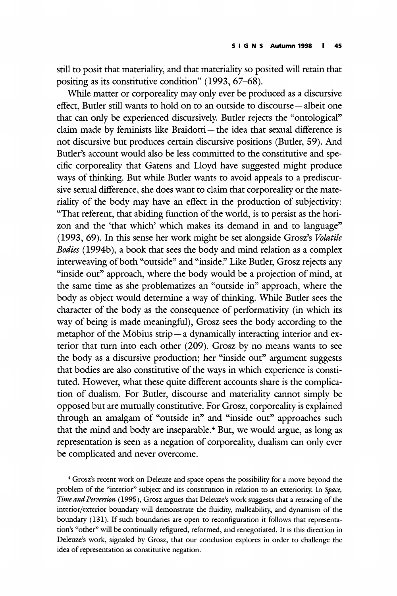**still to posit that materiality, and that materiality so posited will retain that positing as its constitutive condition" (1993, 67-68).** 

**While matter or corporeality may only ever be produced as a discursive**  effect, Butler still wants to hold on to an outside to discourse - albeit one **that can only be experienced discursively. Butler rejects the "ontological"**  claim made by feminists like Braidotti-the idea that sexual difference is **not discursive but produces certain discursive positions (Butler, 59). And Butler's account would also be less committed to the constitutive and specific corporeality that Gatens and Lloyd have suggested might produce ways of thinking. But while Butler wants to avoid appeals to a prediscursive sexual difference, she does want to claim that corporeality or the materiality of the body may have an effect in the production of subjectivity: "That referent, that abiding function of the world, is to persist as the horizon and the 'that which' which makes its demand in and to language" (1993, 69). In this sense her work might be set alongside Grosz's Volatile Bodies (1994b), a book that sees the body and mind relation as a complex interweaving of both "outside" and "inside." Like Butler, Grosz rejects any "inside out" approach, where the body would be a projection of mind, at the same time as she problematizes an "outside in" approach, where the body as object would determine a way of thinking. While Butler sees the character of the body as the consequence of performativity (in which its way of being is made meaningful), Grosz sees the body according to the**  metaphor of the Möbius strip - a dynamically interacting interior and ex**terior that turn into each other (209). Grosz by no means wants to see the body as a discursive production; her "inside out" argument suggests that bodies are also constitutive of the ways in which experience is constituted. However, what these quite different accounts share is the complication of dualism. For Butler, discourse and materiality cannot simply be opposed but are mutually constitutive. For Grosz, corporeality is explained through an amalgam of "outside in" and "inside out" approaches such that the mind and body are inseparable.4 But, we would argue, as long as representation is seen as a negation of corporeality, dualism can only ever be complicated and never overcome.** 

**<sup>4</sup>Grosz's recent work on Deleuze and space opens the possibility for a move beyond the problem of the "interior" subject and its constitution in relation to an exteriority. In Space, Time and Perversion (1995), Grosz argues that Deleuze's work suggests that a retracing of the interior/exterior boundary will demonstrate the fluidity, malleability, and dynamism of the boundary (131). If such boundaries are open to reconfiguration it follows that representation's "other" will be continually refigured, reformed, and renegotiated. It is this direction in Deleuze's work, signaled by Grosz, that our conclusion explores in order to challenge the idea of representation as constitutive negation.**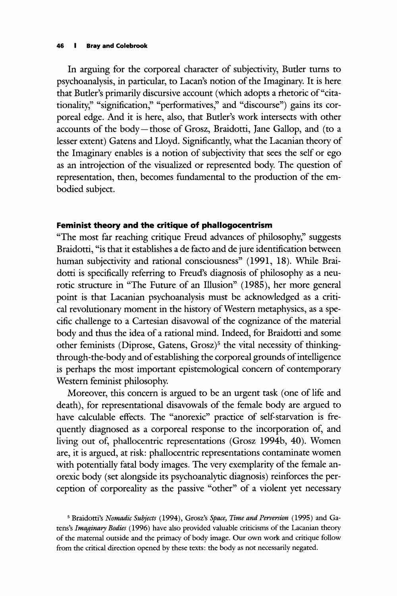**In arguing for the corporeal character of subjectivity, Butler turns to psychoanalysis, in particular, to Lacan's notion of the Imaginary. It is here that Butler's primarily discursive account (which adopts a rhetoric of"citationality," "signification," "performatives," and "discourse") gains its corporeal edge. And it is here, also, that Butler's work intersects with other accounts of the body-those of Grosz, Braidotti, Jane Gallop, and (to a lesser extent) Gatens and Lloyd. Significantly, what the Lacanian theory of the Imaginary enables is a notion of subjectivity that sees the self or ego as an introjection of the visualized or represented body. The question of representation, then, becomes fundamental to the production of the embodied subject.** 

## **Feminist theory and the critique of phallogocentrism**

**"The most far reaching critique Freud advances of philosophy," suggests Braidotti, "is that it establishes a de facto and de jure identification between human subjectivity and rational consciousness" (1991, 18). While Braidotti is specifically referring to Freud's diagnosis of philosophy as a neurotic structure in "The Future of an Illusion" (1985), her more general point is that Lacanian psychoanalysis must be acknowledged as a critical revolutionary moment in the history of Western metaphysics, as a specific challenge to a Cartesian disavowal of the cognizance of the material body and thus the idea of a rational mind. Indeed, for Braidotti and some**  other feminists (Diprose, Gatens, Grosz)<sup>5</sup> the vital necessity of thinking**through-the-body and of establishing the corporeal grounds of intelligence is perhaps the most important epistemological concern of contemporary Western feminist philosophy.** 

**Moreover, this concern is argued to be an urgent task (one of life and death), for representational disavowals of the female body are argued to have calculable effects. The "anorexic" practice of self-starvation is frequently diagnosed as a corporeal response to the incorporation of, and living out of, phallocentric representations (Grosz 1994b, 40). Women are, it is argued, at risk: phallocentric representations contaminate women with potentially fatal body images. The very exemplarity of the female anorexic body (set alongside its psychoanalytic diagnosis) reinforces the perception of corporeality as the passive "other" of a violent yet necessary** 

**5 Braidotti's Nomadic Subjects (1994), Grosz's Space, Time and Perversion (1995) and Gatens's Imaginary Bodies (1996) have also provided valuable criticisms of the Lacanian theory of the maternal outside and the primacy of body image. Our own work and critique follow from the critical direction opened by these texts: the body as not necessarily negated.**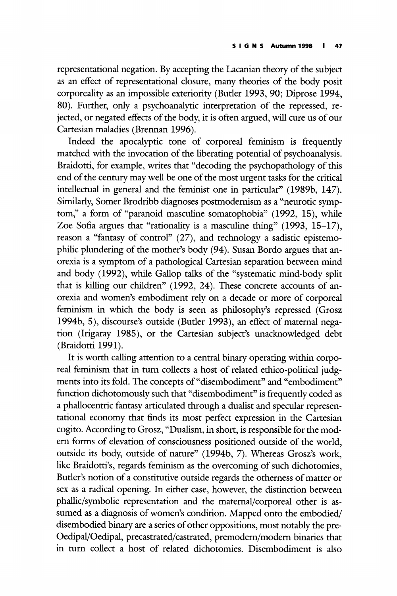**representational negation. By accepting the Lacanian theory of the subject as an effect of representational closure, many theories of the body posit corporeality as an impossible exteriority (Butler 1993, 90; Diprose 1994, 80). Further, only a psychoanalytic interpretation of the repressed, rejected, or negated effects of the body, it is often argued, will cure us of our Cartesian maladies (Brennan 1996).** 

**Indeed the apocalyptic tone of corporeal feminism is frequently matched with the invocation of the liberating potential of psychoanalysis. Braidotti, for example, writes that "decoding the psychopathology of this end of the century may well be one of the most urgent tasks for the critical intellectual in general and the feminist one in particular" (1989b, 147). Similarly, Somer Brodribb diagnoses postmodernism as a "neurotic symptom," a form of "paranoid masculine somatophobia" (1992, 15), while Zoe Sofia argues that "rationality is a masculine thing" (1993, 15-17), reason a "fantasy of control" (27), and technology a sadistic epistemophilic plundering of the mother's body (94). Susan Bordo argues that anorexia is a symptom of a pathological Cartesian separation between mind and body (1992), while Gallop talks of the "systematic mind-body split that is killing our children" (1992, 24). These concrete accounts of anorexia and women's embodiment rely on a decade or more of corporeal feminism in which the body is seen as philosophy's repressed (Grosz 1994b, 5), discourse's outside (Butler 1993), an effect of maternal negation (Irigaray 1985), or the Cartesian subject's unacknowledged debt (Braidotti 1991).** 

**It is worth calling attention to a central binary operating within corporeal feminism that in turn collects a host of related ethico-political judgments into its fold. The concepts of"disembodiment" and "embodiment" function dichotomously such that "disembodiment" is frequently coded as a phallocentric fantasy articulated through a dualist and specular representational economy that finds its most perfect expression in the Cartesian cogito. According to Grosz, "Dualism, in short, is responsible for the modern forms of elevation of consciousness positioned outside of the world, outside its body, outside of nature" (1994b, 7). Whereas Grosz's work, like Braidotti's, regards feminism as the overcoming of such dichotomies, Butler's notion of a constitutive outside regards the otherness of matter or sex as a radical opening. In either case, however, the distinction between phallic/symbolic representation and the maternal/corporeal other is assumed as a diagnosis of women's condition. Mapped onto the embodied/ disembodied binary are a series of other oppositions, most notably the pre-Oedipal/Oedipal, precastrated/castrated, premodern/modern binaries that in turn collect a host of related dichotomies. Disembodiment is also**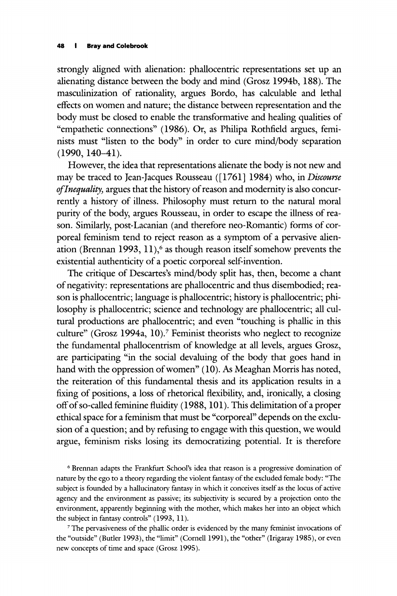**strongly aligned with alienation: phallocentric representations set up an alienating distance between the body and mind (Grosz 1994b, 188). The masculinization of rationality, argues Bordo, has calculable and lethal effects on women and nature; the distance between representation and the body must be closed to enable the transformative and healing qualities of "empathetic connections" (1986). Or, as Philipa Rothfield argues, feminists must "listen to the body" in order to cure mind/body separation (1990, 140-41).** 

**However, the idea that representations alienate the body is not new and may be traced to Jean-Jacques Rousseau ([1761] 1984) who, in Discourse**  of Inequality, argues that the history of reason and modernity is also concur**rently a history of illness. Philosophy must return to the natural moral purity of the body, argues Rousseau, in order to escape the illness of reason. Similarly, post-Lacanian (and therefore neo-Romantic) forms of corporeal feminism tend to reject reason as a symptom of a pervasive alien**ation (Brennan 1993, 11),<sup>6</sup> as though reason itself somehow prevents the **existential authenticity of a poetic corporeal self-invention.** 

**The critique of Descartes's mind/body split has, then, become a chant of negativity: representations are phallocentric and thus disembodied; reason is phallocentric; language is phallocentric; history is phallocentric; philosophy is phallocentric; science and technology are phallocentric; all cultural productions are phallocentric; and even "touching is phallic in this culture" (Grosz 1994a, 10).7 Feminist theorists who neglect to recognize the fundamental phallocentrism of knowledge at all levels, argues Grosz, are participating "in the social devaluing of the body that goes hand in hand with the oppression of women" (10). As Meaghan Morris has noted, the reiteration of this fundamental thesis and its application results in a fixing of positions, a loss of rhetorical flexibility, and, ironically, a closing off of so-called feminine fluidity (1988, 101). This delimitation of a proper ethical space for a feminism that must be "corporeal" depends on the exclusion of a question; and by refusing to engage with this question, we would argue, feminism risks losing its democratizing potential. It is therefore** 

**<sup>6</sup>Brennan adapts the Frankfurt School's idea that reason is a progressive domination of nature by the ego to a theory regarding the violent fantasy of the excluded female body: "The subject is founded by a hallucinatory fantasy in which it conceives itself as the locus of active agency and the environment as passive; its subjectivity is secured by a projection onto the environment, apparently beginning with the mother, which makes her into an object which the subject in fantasy controls" (1993, 11).** 

**<sup>7</sup>The pervasiveness of the phallic order is evidenced by the many feminist invocations of the "outside" (Butler 1993), the "limit" (Cornell 1991), the "other" (Irigaray 1985), or even new concepts of time and space (Grosz 1995).**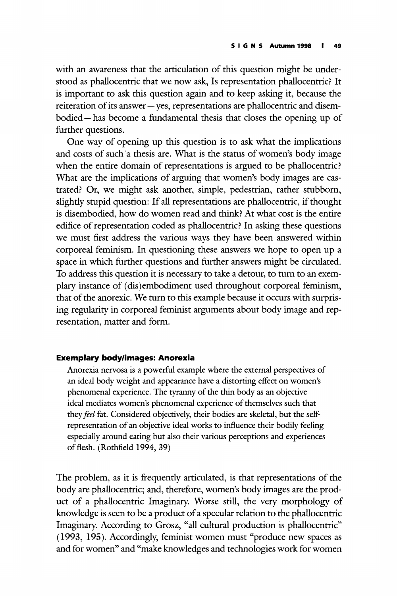**with an awareness that the articulation of this question might be understood as phallocentric that we now ask, Is representation phallocentric? It is important to ask this question again and to keep asking it, because the**  reiteration of its answer - yes, representations are phallocentric and disem**bodied-has become a fundamental thesis that closes the opening up of further questions.** 

**One way of opening up this question is to ask what the implications and costs of such 'a thesis are. What is the status of women's body image when the entire domain of representations is argued to be phallocentric? What are the implications of arguing that women's body images are castrated? Or, we might ask another, simple, pedestrian, rather stubborn, slightly stupid question: If all representations are phallocentric, if thought is disembodied, how do women read and think? At what cost is the entire edifice of representation coded as phallocentric? In asking these questions we must first address the various ways they have been answered within corporeal feminism. In questioning these answers we hope to open up a space in which further questions and further answers might be circulated. To address this question it is necessary to take a detour, to turn to an exemplary instance of (dis)embodiment used throughout corporeal feminism, that of the anorexic. We turn to this example because it occurs with surprising regularity in corporeal feminist arguments about body image and representation, matter and form.** 

#### **Exemplary body/images: Anorexia**

**Anorexia nervosa is a powerful example where the external perspectives of an ideal body weight and appearance have a distorting effect on women's phenomenal experience. The tyranny of the thin body as an objective ideal mediates women's phenomenal experience of themselves such that**  they feel fat. Considered objectively, their bodies are skeletal, but the self**representation of an objective ideal works to influence their bodily feeling especially around eating but also their various perceptions and experiences of flesh. (Rothfield 1994, 39)** 

**The problem, as it is frequently articulated, is that representations of the body are phallocentric; and, therefore, women's body images are the product of a phallocentric Imaginary. Worse still, the very morphology of knowledge is seen to be a product of a specular relation to the phallocentric Imaginary. According to Grosz, "all cultural production is phallocentric" (1993, 195). Accordingly, feminist women must "produce new spaces as and for women" and "make knowledges and technologies work for women**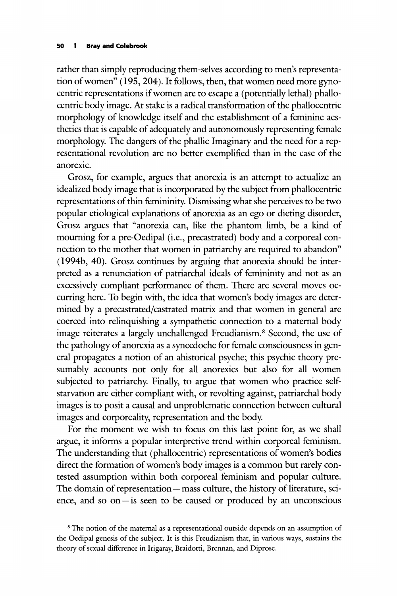**rather than simply reproducing them-selves according to men's representation of women" (195,204). It follows, then, that women need more gynocentric representations if women are to escape a (potentially lethal) phallocentric body image. At stake is a radical transformation of the phallocentric morphology of knowledge itself and the establishment of a feminine aesthetics that is capable of adequately and autonomously representing female morphology. The dangers of the phallic Imaginary and the need for a representational revolution are no better exemplified than in the case of the anorexic.** 

**Grosz, for example, argues that anorexia is an attempt to actualize an idealized body image that is incorporated by the subject from phallocentric representations of thin femininity. Dismissing what she perceives to be two popular etiological explanations of anorexia as an ego or dieting disorder, Grosz argues that "anorexia can, like the phantom limb, be a kind of mourning for a pre-Oedipal (i.e., precastrated) body and a corporeal connection to the mother that women in patriarchy are required to abandon" (1994b, 40). Grosz continues by arguing that anorexia should be interpreted as a renunciation of patriarchal ideals of femininity and not as an excessively compliant performance of them. There are several moves occurring here. To begin with, the idea that women's body images are determined by a precastrated/castrated matrix and that women in general are coerced into relinquishing a sympathetic connection to a maternal body image reiterates a largely unchallenged Freudianism.8 Second, the use of the pathology of anorexia as a synecdoche for female consciousness in general propagates a notion of an ahistorical psyche; this psychic theory presumably accounts not only for all anorexics but also for all women subjected to patriarchy. Finally, to argue that women who practice selfstarvation are either compliant with, or revolting against, patriarchal body images is to posit a causal and unproblematic connection between cultural images and corporeality, representation and the body.** 

**For the moment we wish to focus on this last point for, as we shall argue, it informs a popular interpretive trend within corporeal feminism. The understanding that (phallocentric) representations of women's bodies direct the formation of women's body images is a common but rarely contested assumption within both corporeal feminism and popular culture.**  The domain of representation – mass culture, the history of literature, sci**ence, and so on-is seen to be caused or produced by an unconscious** 

**<sup>8</sup>The notion of the maternal as a representational outside depends on an assumption of the Oedipal genesis of the subject. It is this Freudianism that, in various ways, sustains the theory of sexual difference in Irigaray, Braidotti, Brennan, and Diprose.**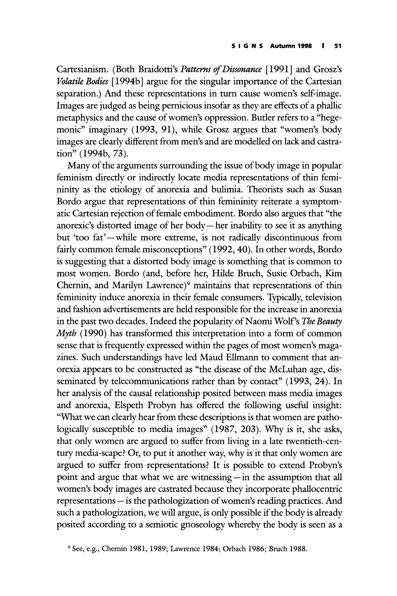**Cartesianism. (Both Braidotti's Patterns of Dissonance [1991] and Grosz's Volatile Bodies [1994b] argue for the singular importance of the Cartesian separation.) And these representations in turn cause women's self-image. Images are judged as being pernicious insofar as they are effects of a phallic metaphysics and the cause of women's oppression. Butler refers to a "hegemonic" imaginary (1993, 91), while Grosz argues that "women's body images are clearly different from men's and are modelled on lack and castration" (1994b, 73).** 

**Many of the arguments surrounding the issue of body image in popular feminism directly or indirectly locate media representations of thin femininity as the etiology of anorexia and bulimia. Theorists such as Susan Bordo argue that representations of thin femininity reiterate a symptomatic Cartesian rejection of female embodiment. Bordo also argues that "the anorexic's distorted image of her body--her inability to see it as anything**  but 'too fat'-while more extreme, is not radically discontinuous from **fairly common female misconceptions" (1992, 40). In other words, Bordo is suggesting that a distorted body image is something that is common to most women. Bordo (and, before her, Hilde Bruch, Susie Orbach, Kim Chernin, and Marilyn Lawrence)9 maintains that representations of thin femininity induce anorexia in their female consumers. Typically, television and fashion advertisements are held responsible for the increase in anorexia in the past two decades. Indeed the popularity of Naomi Wolf's The Beauty Myth (1990) has transformed this interpretation into a form of common sense that is frequently expressed within the pages of most women's magazines. Such understandings have led Maud Ellmann to comment that anorexia appears to be constructed as "the disease of the McLuhan age, disseminated by telecommunications rather than by contact" (1993, 24). In her analysis of the causal relationship posited between mass media images and anorexia, Elspeth Probyn has offered the following useful insight: "What we can clearly hear from these descriptions is that women are pathologically susceptible to media images" (1987, 203). Why is it, she asks, that only women are argued to suffer from living in a late twentieth-century media-scape? Or, to put it another way, why is it that only women are argued to suffer from representations? It is possible to extend Probyn's**  point and argue that what we are witnessing-in the assumption that all **women's body images are castrated because they incorporate phallocentric representations - is the pathologization of women's reading practices. And such a pathologization, we will argue, is only possible if the body is already posited according to a semiotic gnoseology whereby the body is seen as a** 

**<sup>9</sup> See, e.g., Chernin 1981, 1989; Lawrence 1984; Orbach 1986; Bruch 1988.**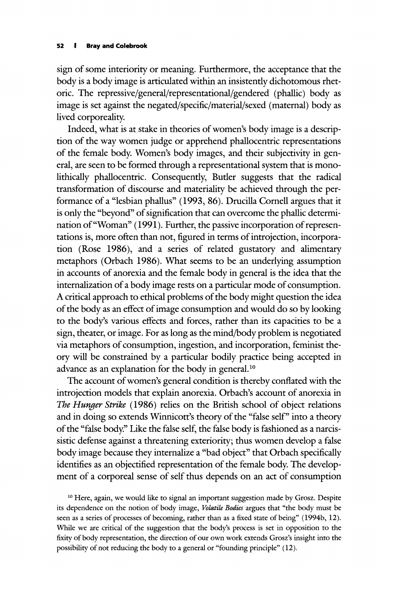**sign of some interiority or meaning. Furthermore, the acceptance that the body is a body image is articulated within an insistently dichotomous rhetoric. The repressive/general/representational/gendered (phallic) body as image is set against the negated/specific/material/sexed (maternal) body as lived corporeality.** 

**Indeed, what is at stake in theories of women's body image is a description of the way women judge or apprehend phallocentric representations of the female body. Women's body images, and their subjectivity in general, are seen to be formed through a representational system that is monolithically phallocentric. Consequently, Butler suggests that the radical transformation of discourse and materiality be achieved through the performance of a "lesbian phallus" (1993, 86). Drucilla Cornell argues that it is only the "beyond" of signification that can overcome the phallic determination of"Woman" (1991). Further, the passive incorporation of representations is, more often than not, figured in terms of introjection, incorporation (Rose 1986), and a series of related gustatory and alimentary metaphors (Orbach 1986). What seems to be an underlying assumption in accounts of anorexia and the female body in general is the idea that the internalization of a body image rests on a particular mode of consumption. A critical approach to ethical problems of the body might question the idea of the body as an effect of image consumption and would do so by looking to the body's various effects and forces, rather than its capacities to be a sign, theater, or image. For as long as the mind/body problem is negotiated via metaphors of consumption, ingestion, and incorporation, feminist theory will be constrained by a particular bodily practice being accepted in advance as an explanation for the body in general.'0** 

**The account of women's general condition is thereby conflated with the introjection models that explain anorexia. Orbach's account of anorexia in The Hunger Strike (1986) relies on the British school of object relations and in doing so extends Winnicott's theory of the "false self" into a theory of the "false body." Like the false self, the false body is fashioned as a narcissistic defense against a threatening exteriority; thus women develop a false body image because they internalize a "bad object" that Orbach specifically identifies as an objectified representation of the female body. The development of a corporeal sense of self thus depends on an act of consumption** 

<sup>10</sup> Here, again, we would like to signal an important suggestion made by Grosz. Despite **its dependence on the notion of body image, Volatile Bodies argues that "the body must be seen as a series of processes of becoming, rather than as a fixed state of being" (1994b, 12). While we are critical of the suggestion that the body's process is set in opposition to the fixity of body representation, the direction of our own work extends Grosz's insight into the possibility of not reducing the body to a general or "founding principle" (12).**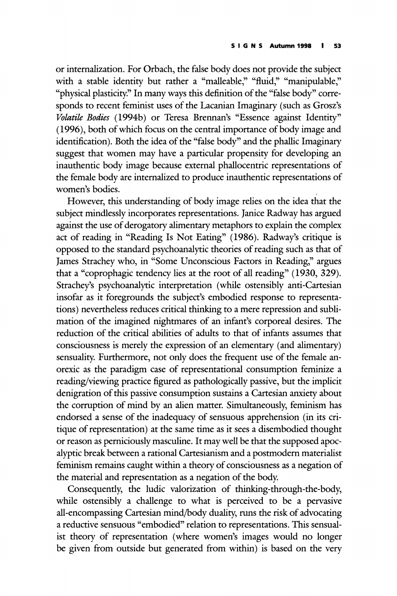**or internalization. For Orbach, the false body does not provide the subject with a stable identity but rather a "malleable," "fluid," "manipulable," "physical plasticity." In many ways this definition of the "false body" corresponds to recent feminist uses of the Lacanian Imaginary (such as Grosz's Volatile Bodies (1994b) or Teresa Brennan's "Essence against Identity" (1996), both of which focus on the central importance of body image and identification). Both the idea of the "false body" and the phallic Imaginary suggest that women may have a particular propensity for developing an inauthentic body image because external phallocentric representations of the female body are internalized to produce inauthentic representations of women's bodies.** 

**However, this understanding of body image relies on the idea that the subject mindlessly incorporates representations. Janice Radway has argued against the use of derogatory alimentary metaphors to explain the complex act of reading in "Reading Is Not Eating" (1986). Radway's critique is opposed to the standard psychoanalytic theories of reading such as that of James Strachey who, in "Some Unconscious Factors in Reading," argues that a "coprophagic tendency lies at the root of all reading" (1930, 329). Strachey's psychoanalytic interpretation (while ostensibly anti-Cartesian insofar as it foregrounds the subject's embodied response to representations) nevertheless reduces critical thinking to a mere repression and sublimation of the imagined nightmares of an infant's corporeal desires. The reduction of the critical abilities of adults to that of infants assumes that consciousness is merely the expression of an elementary (and alimentary) sensuality. Furthermore, not only does the frequent use of the female anorexic as the paradigm case of representational consumption feminize a reading/viewing practice figured as pathologically passive, but the implicit denigration of this passive consumption sustains a Cartesian anxiety about the corruption of mind by an alien matter. Simultaneously, feminism has endorsed a sense of the inadequacy of sensuous apprehension (in its critique of representation) at the same time as it sees a disembodied thought or reason as perniciously masculine. It may well be that the supposed apocalyptic break between a rational Cartesianism and a postmodern materialist feminism remains caught within a theory of consciousness as a negation of the material and representation as a negation of the body.** 

**Consequently, the ludic valorization of thinking-through-the-body, while ostensibly a challenge to what is perceived to be a pervasive all-encompassing Cartesian mind/body duality, runs the risk of advocating a reductive sensuous "embodied" relation to representations. This sensualist theory of representation (where women's images would no longer be given from outside but generated from within) is based on the very**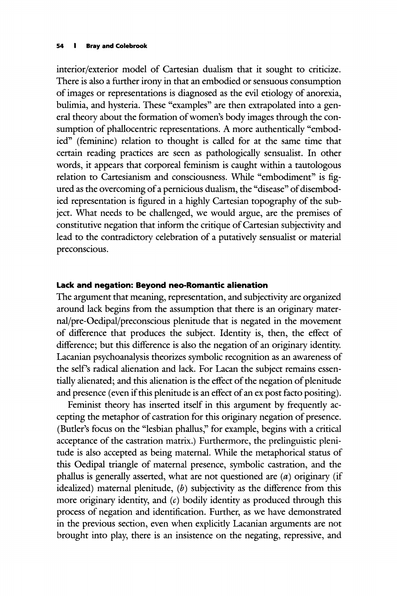**interior/exterior model of Cartesian dualism that it sought to criticize. There is also a further irony in that an embodied or sensuous consumption of images or representations is diagnosed as the evil etiology of anorexia, bulimia, and hysteria. These "examples" are then extrapolated into a general theory about the formation of women's body images through the consumption of phallocentric representations. A more authentically "embodied" (feminine) relation to thought is called for at the same time that certain reading practices are seen as pathologically sensualist. In other words, it appears that corporeal feminism is caught within a tautologous relation to Cartesianism and consciousness. While "embodiment" is figured as the overcoming of a pernicious dualism, the "disease" of disembodied representation is figured in a highly Cartesian topography of the subject. What needs to be challenged, we would argue, are the premises of constitutive negation that inform the critique of Cartesian subjectivity and lead to the contradictory celebration of a putatively sensualist or material preconscious.** 

## **Lack and negation: Beyond neo-Romantic alienation**

**The argument that meaning, representation, and subjectivity are organized around lack begins from the assumption that there is an originary maternal/pre-Oedipal/preconscious plenitude that is negated in the movement of difference that produces the subject. Identity is, then, the effect of difference; but this difference is also the negation of an originary identity. Lacanian psychoanalysis theorizes symbolic recognition as an awareness of the self's radical alienation and lack. For Lacan the subject remains essentially alienated; and this alienation is the effect of the negation of plenitude and presence (even if this plenitude is an effect of an ex post facto positing).** 

**Feminist theory has inserted itself in this argument by frequently accepting the metaphor of castration for this originary negation of presence. (Butler's focus on the "lesbian phallus," for example, begins with a critical acceptance of the castration matrix.) Furthermore, the prelinguistic plenitude is also accepted as being maternal. While the metaphorical status of this Oedipal triangle of maternal presence, symbolic castration, and the phallus is generally asserted, what are not questioned are (a) originary (if**  idealized) maternal plenitude, (b) subjectivity as the difference from this **more originary identity, and (c) bodily identity as produced through this process of negation and identification. Further, as we have demonstrated in the previous section, even when explicitly Lacanian arguments are not brought into play, there is an insistence on the negating, repressive, and**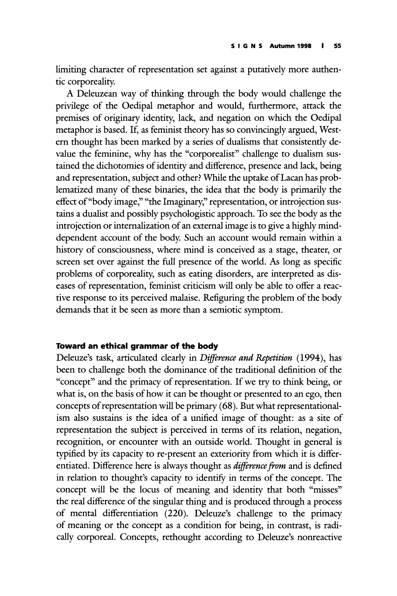**limiting character of representation set against a putatively more authentic corporeality.** 

**A Deleuzean way of thinking through the body would challenge the privilege of the Oedipal metaphor and would, furthermore, attack the premises of originary identity, lack, and negation on which the Oedipal metaphor is based. If, as feminist theory has so convincingly argued, Western thought has been marked by a series of dualisms that consistently devalue the feminine, why has the "corporealist" challenge to dualism sustained the dichotomies of identity and difference, presence and lack, being and representation, subject and other? While the uptake of Lacan has problematized many of these binaries, the idea that the body is primarily the effect of "body image," "the Imaginary," representation, or introjection sustains a dualist and possibly psychologistic approach. To see the body as the introjection or internalization of an external image is to give a highly minddependent account of the body. Such an account would remain within a history of consciousness, where mind is conceived as a stage, theater, or screen set over against the full presence of the world. As long as specific problems of corporeality, such as eating disorders, are interpreted as diseases of representation, feminist criticism will only be able to offer a reactive response to its perceived malaise. Refiguring the problem of the body demands that it be seen as more than a semiotic symptom.** 

#### **Toward an ethical grammar of the body**

**Deleuze's task, articulated clearly in Difference and Repetition (1994), has been to challenge both the dominance of the traditional definition of the "concept" and the primacy of representation. If we try to think being, or what is, on the basis of how it can be thought or presented to an ego, then concepts of representation will be primary (68). But what representationalism also sustains is the idea of a unified image of thought: as a site of representation the subject is perceived in terms of its relation, negation, recognition, or encounter with an outside world. Thought in general is typified by its capacity to re-present an exteriority from which it is differ**entiated. Difference here is always thought as *difference from* and is defined **in relation to thought's capacity to identify in terms of the concept. The concept will be the locus of meaning and identity that both "misses" the real difference of the singular thing and is produced through a process of mental differentiation (220). Deleuze's challenge to the primacy of meaning or the concept as a condition for being, in contrast, is radically corporeal. Concepts, rethought according to Deleuze's nonreactive**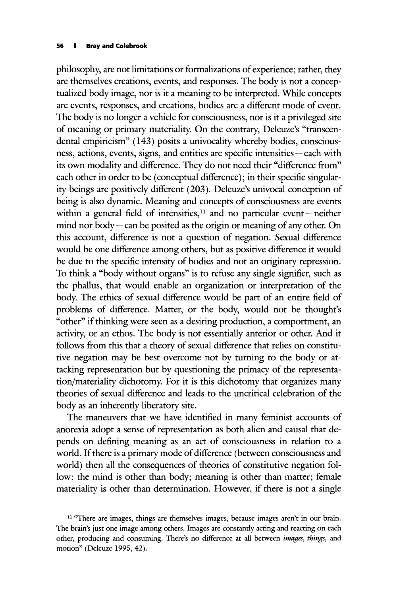#### **56 I Bray and Colebrook**

**philosophy, are not limitations or formalizations of experience; rather, they are themselves creations, events, and responses. The body is not a conceptualized body image, nor is it a meaning to be interpreted. While concepts are events, responses, and creations, bodies are a different mode of event. The body is no longer a vehicle for consciousness, nor is it a privileged site of meaning or primary materiality. On the contrary, Deleuze's "transcendental empiricism" (143) posits a univocality whereby bodies, conscious**ness, actions, events, signs, and entities are specific intensities - each with **its own modality and difference. They do not need their "difference from" each other in order to be (conceptual difference); in their specific singularity beings are positively different (203). Deleuze's univocal conception of being is also dynamic. Meaning and concepts of consciousness are events**  within a general field of intensities,<sup>11</sup> and no particular event-neither mind nor body – can be posited as the origin or meaning of any other. On **this account, difference is not a question of negation. Sexual difference would be one difference among others, but as positive difference it would be due to the specific intensity of bodies and not an originary repression. To think a "body without organs" is to refuse any single signifier, such as the phallus, that would enable an organization or interpretation of the body. The ethics of sexual difference would be part of an entire field of problems of difference. Matter, or the body, would not be thought's "other" if thinking were seen as a desiring production, a comportment, an activity, or an ethos. The body is not essentially anterior or other. And it follows from this that a theory of sexual difference that relies on constitutive negation may be best overcome not by turning to the body or attacking representation but by questioning the primacy of the representation/materiality dichotomy. For it is this dichotomy that organizes many theories of sexual difference and leads to the uncritical celebration of the body as an inherently liberatory site.** 

**The maneuvers that we have identified in many feminist accounts of anorexia adopt a sense of representation as both alien and causal that depends on defining meaning as an act of consciousness in relation to a world. If there is a primary mode of difference (between consciousness and world) then all the consequences of theories of constitutive negation follow: the mind is other than body; meaning is other than matter; female materiality is other than determination. However, if there is not a single** 

**<sup>11</sup>"There are images, things are themselves images, because images aren't in our brain. The brain's just one image among others. Images are constantly acting and reacting on each other, producing and consuming. There's no difference at all between images, things, and motion" (Deleuze 1995, 42).**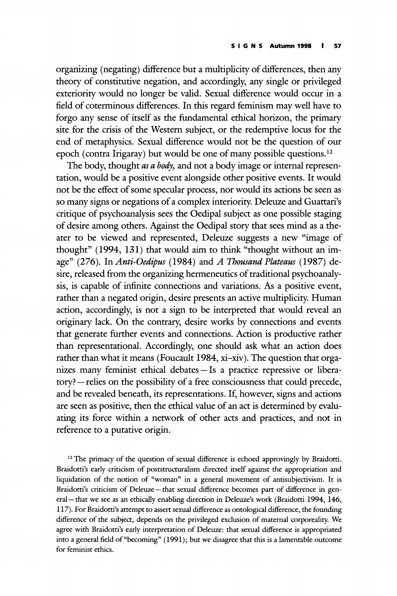**organizing (negating) difference but a multiplicity of differences, then any theory of constitutive negation, and accordingly, any single or privileged exteriority would no longer be valid. Sexual difference would occur in a field of coterminous differences. In this regard feminism may well have to forgo any sense of itself as the fundamental ethical horizon, the primary site for the crisis of the Western subject, or the redemptive locus for the end of metaphysics. Sexual difference would not be the question of our epoch (contra Irigaray) but would be one of many possible questions.'2** 

**The body, thought as a body, and not a body image or internal representation, would be a positive event alongside other positive events. It would not be the effect of some specular process, nor would its actions be seen as so many signs or negations of a complex interiority. Deleuze and Guattari's critique of psychoanalysis sees the Oedipal subject as one possible staging of desire among others. Against the Oedipal story that sees mind as a theater to be viewed and represented, Deleuze suggests a new "image of thought" (1994, 131) that would aim to think "thought without an image" (276). In Anti-Oedipus (1984) and A Thousand Plateaus (1987) desire, released from the organizing hermeneutics of traditional psychoanalysis, is capable of infinite connections and variations. As a positive event, rather than a negated origin, desire presents an active multiplicity. Human action, accordingly, is not a sign to be interpreted that would reveal an originary lack. On the contrary, desire works by connections and events that generate further events and connections. Action is productive rather than representational. Accordingly, one should ask what an action does rather than what it means (Foucault 1984, xi-xiv). The question that organizes many feminist ethical debates--Is a practice repressive or libera**tory? - relies on the possibility of a free consciousness that could precede, **and be revealed beneath, its representations. If, however, signs and actions are seen as positive, then the ethical value of an act is determined by evaluating its force within a network of other acts and practices, and not in reference to a putative origin.** 

**<sup>12</sup>The primacy of the question of sexual difference is echoed approvingly by Braidotti. Braidotti's early criticism of poststructuralism directed itself against the appropriation and liquidation of the notion of "woman" in a general movement of antisubjectivism. It is**  Braidotti's criticism of Deleuze - that sexual difference becomes part of difference in gen**eral-that we see as an ethically enabling direction in Deleuze's work (Braidotti 1994, 146, 117). For Braidotti's attempt to assert sexual difference as ontological difference, the founding difference of the subject, depends on the privileged exclusion of maternal corporeality. We agree with Braidotti's early interpretation of Deleuze: that sexual difference is appropriated into a general field of "becoming" (1991); but we disagree that this is a lamentable outcome for feminist ethics.**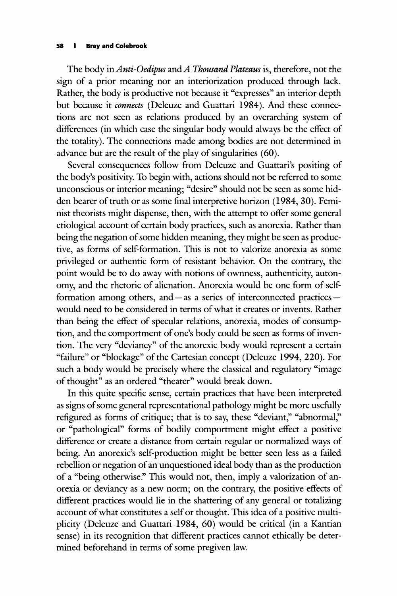**The body inAnti-Oedipus andA Thousand Plateaus is, therefore, not the sign of a prior meaning nor an interiorization produced through lack. Rather, the body is productive not because it "expresses" an interior depth but because it connects (Deleuze and Guattari 1984). And these connections are not seen as relations produced by an overarching system of differences (in which case the singular body would always be the effect of the totality). The connections made among bodies are not determined in advance but are the result of the play of singularities (60).** 

**Several consequences follow from Deleuze and Guattari's positing of the body's positivity. To begin with, actions should not be referred to some unconscious or interior meaning; "desire" should not be seen as some hidden bearer of truth or as some final interpretive horizon (1984, 30). Feminist theorists might dispense, then, with the attempt to offer some general etiological account of certain body practices, such as anorexia. Rather than being the negation of some hidden meaning, they might be seen as productive, as forms of self-formation. This is not to valorize anorexia as some privileged or authentic form of resistant behavior. On the contrary, the point would be to do away with notions of ownness, authenticity, autonomy, and the rhetoric of alienation. Anorexia would be one form of selfformation among others, and--as a series of interconnected practices would need to be considered in terms of what it creates or invents. Rather than being the effect of specular relations, anorexia, modes of consumption, and the comportment of one's body could be seen as forms of invention. The very "deviancy" of the anorexic body would represent a certain "failure" or "blockage" of the Cartesian concept (Deleuze 1994, 220). For such a body would be precisely where the classical and regulatory "image of thought" as an ordered "theater" would break down.** 

**In this quite specific sense, certain practices that have been interpreted as signs of some general representational pathology might be more usefully refigured as forms of critique; that is to say, these "deviant," "abnormal," or "pathological" forms of bodily comportment might effect a positive difference or create a distance from certain regular or normalized ways of being. An anorexic's self-production might be better seen less as a failed rebellion or negation of an unquestioned ideal body than as the production of a "being otherwise." This would not, then, imply a valorization of anorexia or deviancy as a new norm; on the contrary, the positive effects of different practices would lie in the shattering of any general or totalizing account of what constitutes a self or thought. This idea of a positive multiplicity (Deleuze and Guattari 1984, 60) would be critical (in a Kantian sense) in its recognition that different practices cannot ethically be determined beforehand in terms of some pregiven law.**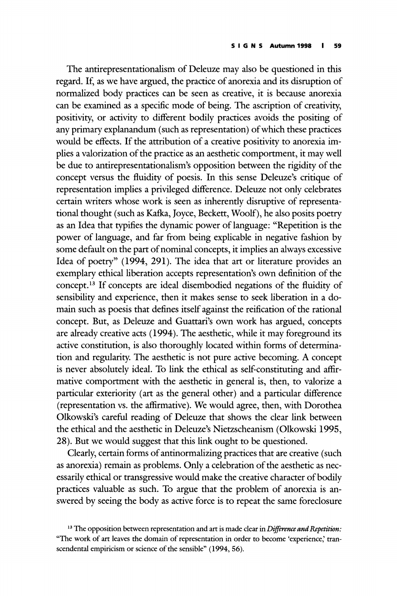**The antirepresentationalism of Deleuze may also be questioned in this regard. If, as we have argued, the practice of anorexia and its disruption of normalized body practices can be seen as creative, it is because anorexia can be examined as a specific mode of being. The ascription of creativity, positivity, or activity to different bodily practices avoids the positing of any primary explanandum (such as representation) of which these practices would be effects. If the attribution of a creative positivity to anorexia implies a valorization of the practice as an aesthetic comportment, it may well be due to antirepresentationalism's opposition between the rigidity of the concept versus the fluidity of poesis. In this sense Deleuze's critique of representation implies a privileged difference. Deleuze not only celebrates certain writers whose work is seen as inherently disruptive of representational thought (such as Kafka, Joyce, Beckett, Woolf), he also posits poetry as an Idea that typifies the dynamic power of language: "Repetition is the power of language, and far from being explicable in negative fashion by some default on the part of nominal concepts, it implies an always excessive Idea of poetry" (1994, 291). The idea that art or literature provides an exemplary ethical liberation accepts representation's own definition of the concept.13 If concepts are ideal disembodied negations of the fluidity of sensibility and experience, then it makes sense to seek liberation in a domain such as poesis that defines itself against the reification of the rational concept. But, as Deleuze and Guattari's own work has argued, concepts are already creative acts (1994). The aesthetic, while it may foreground its active constitution, is also thoroughly located within forms of determination and regularity. The aesthetic is not pure active becoming. A concept is never absolutely ideal. To link the ethical as self-constituting and affirmative comportment with the aesthetic in general is, then, to valorize a particular exteriority (art as the general other) and a particular difference (representation vs. the affirmative). We would agree, then, with Dorothea Olkowski's careful reading of Deleuze that shows the clear link between the ethical and the aesthetic in Deleuze's Nietzscheanism (Olkowski 1995, 28). But we would suggest that this link ought to be questioned.** 

Clearly, certain forms of antinormalizing practices that are creative (such **as anorexia) remain as problems. Only a celebration of the aesthetic as necessarily ethical or transgressive would make the creative character of bodily practices valuable as such. To argue that the problem of anorexia is answered by seeing the body as active force is to repeat the same foreclosure** 

<sup>&</sup>lt;sup>13</sup> The opposition between representation and art is made clear in *Difference and Repetition*: **"The work of art leaves the domain of representation in order to become 'experience' transcendental empiricism or science of the sensible" (1994, 56).**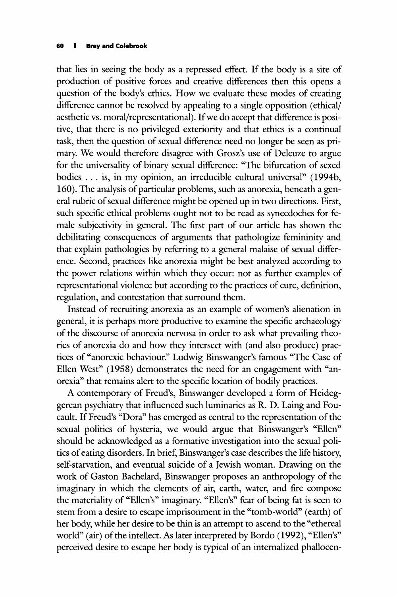**that lies in seeing the body as a repressed effect. If the body is a site of production of positive forces and creative differences then this opens a question of the body's ethics. How we evaluate these modes of creating difference cannot be resolved by appealing to a single opposition (ethical/ aesthetic vs. moral/representational). If we do accept that difference is positive, that there is no privileged exteriority and that ethics is a continual task, then the question of sexual difference need no longer be seen as primary. We would therefore disagree with Grosz's use of Deleuze to argue for the universality of binary sexual difference: "The bifurcation of sexed bodies ... is, in my opinion, an irreducible cultural universal" (1994b, 160). The analysis of particular problems, such as anorexia, beneath a general rubric of sexual difference might be opened up in two directions. First, such specific ethical problems ought not to be read as synecdoches for female subjectivity in general. The first part of our article has shown the debilitating consequences of arguments that pathologize femininity and that explain pathologies by referring to a general malaise of sexual difference. Second, practices like anorexia might be best analyzed according to the power relations within which they occur: not as further examples of representational violence but according to the practices of cure, definition, regulation, and contestation that surround them.** 

**Instead of recruiting anorexia as an example of women's alienation in general, it is perhaps more productive to examine the specific archaeology of the discourse of anorexia nervosa in order to ask what prevailing theories of anorexia do and how they intersect with (and also produce) practices of "anorexic behaviour." Ludwig Binswanger's famous "The Case of Ellen West" (1958) demonstrates the need for an engagement with "anorexia" that remains alert to the specific location of bodily practices.** 

**A contemporary of Freud's, Binswanger developed a form of Heideggerean psychiatry that influenced such luminaries as R. D. Laing and Foucault. If Freud's "Dora" has emerged as central to the representation of the sexual politics of hysteria, we would argue that Binswanger's "Ellen" should be acknowledged as a formative investigation into the sexual politics of eating disorders. In brief, Binswanger's case describes the life history, self-starvation, and eventual suicide of a Jewish woman. Drawing on the work of Gaston Bachelard, Binswanger proposes an anthropology of the imaginary in which the elements of air, earth, water, and fire compose the materiality of "Ellen's" imaginary. "Ellen's" fear of being fat is seen to stem from a desire to escape imprisonment in the "tomb-world" (earth) of her body, while her desire to be thin is an attempt to ascend to the "ethereal world" (air) of the intellect. As later interpreted by Bordo (1992), "Ellen's" perceived desire to escape her body is typical of an internalized phallocen-**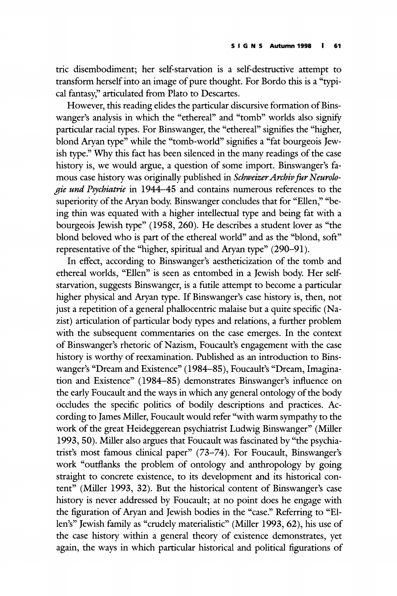**tric disembodiment; her self-starvation is a self-destructive attempt to transform herself into an image of pure thought. For Bordo this is a "typical fantasy," articulated from Plato to Descartes.** 

**However, this reading elides the particular discursive formation of Binswanger's analysis in which the "ethereal" and "tomb" worlds also signify particular racial types. For Binswanger, the "ethereal" signifies the "higher, blond Aryan type" while the "tomb-world" signifies a "fat bourgeois Jewish type." Why this fact has been silenced in the many readings of the case history is, we would argue, a question of some import. Binswanger's fa**mous case history was originally published in Schweizer Archiv fur Neurolo**gie und Psychiatrie in 1944-45 and contains numerous references to the superiority of the Aryan body. Binswanger concludes that for "Ellen;" "being thin was equated with a higher intellectual type and being fat with a bourgeois Jewish type" (1958, 260). He describes a student lover as "the blond beloved who is part of the ethereal world" and as the "blond, soft" representative of the "higher, spiritual and Aryan type" (290-91).** 

**In effect, according to Binswanger's aestheticization of the tomb and ethereal worlds, "Ellen" is seen as entombed in a Jewish body. Her selfstarvation, suggests Binswanger, is a futile attempt to become a particular higher physical and Aryan type. If Binswanger's case history is, then, not just a repetition of a general phallocentric malaise but a quite specific (Nazist) articulation of particular body types and relations, a further problem with the subsequent commentaries on the case emerges. In the context of Binswanger's rhetoric of Nazism, Foucault's engagement with the case history is worthy of reexamination. Published as an introduction to Bins**wanger's "Dream and Existence" (1984-85), Foucault's "Dream, Imagina**tion and Existence" (1984-85) demonstrates Binswanger's influence on the early Foucault and the ways in which any general ontology of the body occludes the specific politics of bodily descriptions and practices. According to James Miller, Foucault would refer "with warm sympathy to the work of the great Heideggerean psychiatrist Ludwig Binswanger" (Miller 1993, 50). Miller also argues that Foucault was fascinated by "the psychiatrist's most famous clinical paper" (73-74). For Foucault, Binswanger's work "outflanks the problem of ontology and anthropology by going straight to concrete existence, to its development and its historical content" (Miller 1993, 32). But the historical content of Binswanger's case history is never addressed by Foucault; at no point does he engage with the figuration of Aryan and Jewish bodies in the "case." Referring to "Ellen's" Jewish family as "crudely materialistic" (Miller 1993, 62), his use of the case history within a general theory of existence demonstrates, yet again, the ways in which particular historical and political figurations of**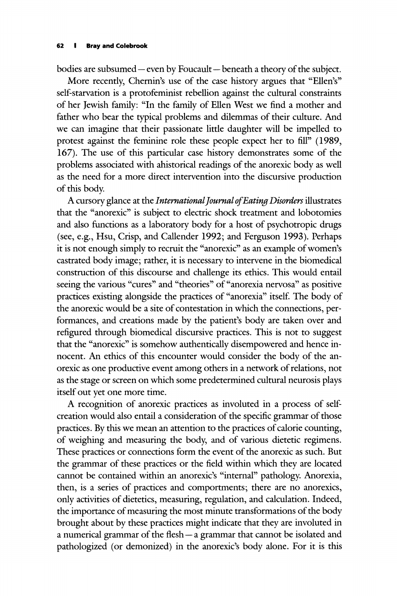bodies are subsumed — even by Foucault — beneath a theory of the subject.

**More recently, Chernin's use of the case history argues that "Ellen's" self-starvation is a protofeminist rebellion against the cultural constraints of her Jewish family: "In the family of Ellen West we find a mother and father who bear the typical problems and dilemmas of their culture. And we can imagine that their passionate little daughter will be impelled to protest against the feminine role these people expect her to fill" (1989, 167). The use of this particular case history demonstrates some of the problems associated with ahistorical readings of the anorexic body as well as the need for a more direct intervention into the discursive production of this body.** 

A cursory glance at the *International Journal of Eating Disorders* illustrates **that the "anorexic" is subject to electric shock treatment and lobotomies and also functions as a laboratory body for a host of psychotropic drugs (see, e.g., Hsu, Crisp, and Callender 1992; and Ferguson 1993). Perhaps it is not enough simply to recruit the "anorexic" as an example ofwomen's castrated body image; rather, it is necessary to intervene in the biomedical construction of this discourse and challenge its ethics. This would entail seeing the various "cures" and "theories" of"anorexia nervosa" as positive practices existing alongside the practices of "anorexia" itself. The body of the anorexic would be a site of contestation in which the connections, performances, and creations made by the patient's body are taken over and refigured through biomedical discursive practices. This is not to suggest that the "anorexic" is somehow authentically disempowered and hence innocent. An ethics of this encounter would consider the body of the anorexic as one productive event among others in a network of relations, not as the stage or screen on which some predetermined cultural neurosis plays itself out yet one more time.** 

**A recognition of anorexic practices as involuted in a process of selfcreation would also entail a consideration of the specific grammar of those practices. By this we mean an attention to the practices of calorie counting, of weighing and measuring the body, and of various dietetic regimens. These practices or connections form the event of the anorexic as such. But the grammar of these practices or the field within which they are located cannot be contained within an anorexic's "internal" pathology. Anorexia, then, is a series of practices and comportments; there are no anorexics, only activities of dietetics, measuring, regulation, and calculation. Indeed, the importance of measuring the most minute transformations of the body brought about by these practices might indicate that they are involuted in a numerical grammar of the flesh - a grammar that cannot be isolated and pathologized (or demonized) in the anorexic's body alone. For it is this**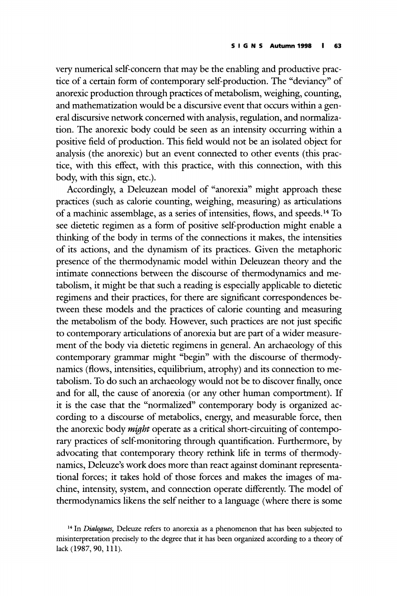**very numerical self-concern that may be the enabling and productive practice of a certain form of contemporary self-production. The "deviancy" of anorexic production through practices of metabolism, weighing, counting, and mathematization would be a discursive event that occurs within a general discursive network concerned with analysis, regulation, and normalization. The anorexic body could be seen as an intensity occurring within a positive field of production. This field would not be an isolated object for analysis (the anorexic) but an event connected to other events (this practice, with this effect, with this practice, with this connection, with this body, with this sign, etc.).** 

**Accordingly, a Deleuzean model of "anorexia" might approach these practices (such as calorie counting, weighing, measuring) as articulations of a machinic assemblage, as a series of intensities, flows, and speeds.14 To see dietetic regimen as a form of positive self-production might enable a thinking of the body in terms of the connections it makes, the intensities of its actions, and the dynamism of its practices. Given the metaphoric presence of the thermodynamic model within Deleuzean theory and the intimate connections between the discourse of thermodynamics and metabolism, it might be that such a reading is especially applicable to dietetic regimens and their practices, for there are significant correspondences between these models and the practices of calorie counting and measuring the metabolism of the body. However, such practices are not just specific to contemporary articulations of anorexia but are part of a wider measurement of the body via dietetic regimens in general. An archaeology of this contemporary grammar might "begin" with the discourse of thermodynamics (flows, intensities, equilibrium, atrophy) and its connection to metabolism. To do such an archaeology would not be to discover finally, once and for all, the cause of anorexia (or any other human comportment). If it is the case that the "normalized" contemporary body is organized according to a discourse of metabolics, energy, and measurable force, then the anorexic body might operate as a critical short-circuiting of contemporary practices of self-monitoring through quantification. Furthermore, by advocating that contemporary theory rethink life in terms of thermodynamics, Deleuze's work does more than react against dominant representational forces; it takes hold of those forces and makes the images of machine, intensity, system, and connection operate differently. The model of thermodynamics likens the self neither to a language (where there is some** 

**<sup>14</sup>In Dialogues, Deleuze refers to anorexia as a phenomenon that has been subjected to misinterpretation precisely to the degree that it has been organized according to a theory of lack (1987, 90, 111).**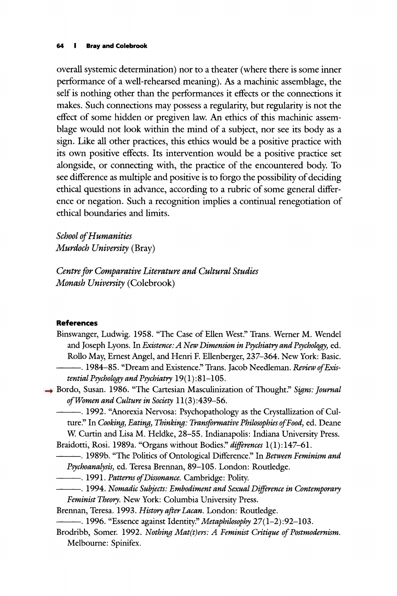**overall systemic determination) nor to a theater (where there is some inner performance of a well-rehearsed meaning). As a machinic assemblage, the self is nothing other than the performances it effects or the connections it makes. Such connections may possess a regularity, but regularity is not the effect of some hidden or pregiven law. An ethics of this machinic assemblage would not look within the mind of a subject, nor see its body as a sign. Like all other practices, this ethics would be a positive practice with its own positive effects. Its intervention would be a positive practice set alongside, or connecting with, the practice of the encountered body. To see difference as multiple and positive is to forgo the possibility of deciding ethical questions in advance, according to a rubric of some general difference or negation. Such a recognition implies a continual renegotiation of ethical boundaries and limits.** 

**School of Humanities Murdoch University (Bray)** 

**Centre for Comparative Literature and Cultural Studies Monash University (Colebrook)** 

## **References**

- **Binswanger, Ludwig. 1958. "The Case of Ellen West." Trans. Werner M. Wendel and Joseph Lyons. In Existence:A New Dimension in Psychiatry and Psychology, ed. Rollo May, Ernest Angel, and Henri F. Ellenberger, 237-364. New York: Basic. . 1984-85. "Dream and Existence." Trans. Jacob Needleman. Review ofExistential Psychology and Psychiatry 19(1):81-105.**
- **Bordo, Susan. 1986. "The Cartesian Masculinization of Thought." Signs: Journal of Women and Culture in Society 11(3):439-56.** 
	- **. 1992. "Anorexia Nervosa: Psychopathology as the Crystallization of Culture." In Cooking, Eating, Thinking: Transformative Philosophies ofFood, ed. Deane W. Curtin and Lisa M. Heldke, 28-55. Indianapolis: Indiana University Press.**
	- **Braidotti, Rosi. 1989a. "Organs without Bodies." differences 1(1):147-61. . 1989b. "The Politics of Ontological Difference." In Between Feminism and**
	- **Psychoanalysis, ed. Teresa Brennan, 89-105. London: Routledge.**
	- **. 1991. Patterns ofDissonance. Cambridge: Polity.**
	- **. 1994. Nomadic Subjects: Embodiment and Sexual Difference in Contemporary Feminist Theory. New York: Columbia University Press.**

**Brennan, Teresa. 1993. History after Lacan. London: Routledge.** 

- **. 1996. "Essence against Identity." Metaphilosophy 27(1-2) :92-103.**
- **Brodribb, Somer. 1992. Nothing Mat(t)ers: A Feminist Critique of Postmodernism. Melbourne: Spinifex.**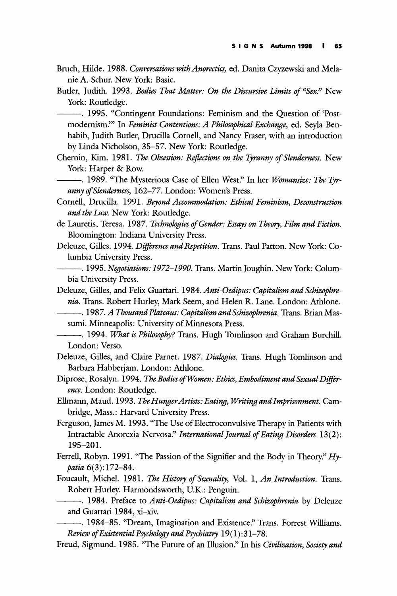- Bruch, Hilde. 1988. Conversations with Anorectics, ed. Danita Czyzewski and Mela**nie A. Schur. New York: Basic.**
- **Butler, Judith. 1993. Bodies That Matter: On the Discursive Limits of "Sex." New York: Routledge.**
- **. 1995. "Contingent Foundations: Feminism and the Question of 'Postmodernism."' In Feminist Contentions: A Philosophical Exchange, ed. Seyla Benhabib, Judith Butler, Drucilla Cornell, and Nancy Fraser, with an introduction by Linda Nicholson, 35-57. New York: Routledge.**
- **Chernin, Kim. 1981. The Obsession: Reflections on the Tyranny of Slenderness. New York: Harper & Row.**
- ----. 1989. "The Mysterious Case of Ellen West." In her Womansize: The Tyr**anny of Slenderness, 162-77. London: Women's Press.**
- **Cornell, Drucilla. 1991. Beyond Accommodation: Ethical Feminism, Deconstruction and the Law. New York: Routledge.**
- **de Lauretis, Teresa. 1987. Technologies of Gender: Essays on Theory, Film and Fiction. Bloomington: Indiana University Press.**
- **Deleuze, Gilles. 1994. Diference and Repetition. Trans. Paul Patton. New York: Columbia University Press.**
- **. 1995. Negotiations: 1972-1990. Trans. Martin Joughin. New York: Columbia University Press.**
- **Deleuze, Gilles, and Felix Guattari. 1984. Anti-Oedipus: Capitalism and Schizophrenia. Trans. Robert Hurley, Mark Seem, and Helen R. Lane. London: Athlone.** 
	- **. 1987. A Thousand Plateaus: Capitalism and Schizophrenia. Trans. Brian Mas-**
	- **sumi. Minneapolis: University of Minnesota Press.**
- **. 1994. What is Philosophy? Trans. Hugh Tomlinson and Graham Burchill. London: Verso.**
- **Deleuze, Gilles, and Claire Parnet. 1987. Dialogies. Trans. Hugh Tomlinson and Barbara Habberjam. London: Athlone.**
- **Diprose, Rosalyn. 1994. The Bodies of Women: Ethics, Embodiment and SexualDiference. London: Routledge.**
- **Ellmann, Maud. 1993. The HungerArtists: Eating, Writing and Imprisonment. Cambridge, Mass.: Harvard University Press.**
- **Ferguson, James M. 1993. "The Use of Electroconvulsive Therapy in Patients with Intractable Anorexia Nervosa." International Journal of Eating Disorders 13(2): 195-201.**
- **Ferrell, Robyn. 1991. "The Passion of the Signifier and the Body in Theory." Hypatia 6(3):172-84.**
- **Foucault, Michel. 1981. The History of Sexuality, Vol. 1, An Introduction. Trans. Robert Hurley. Harmondsworth, U.K.: Penguin.**
- **. 1984. Preface to Anti-Oedipus: Capitalism and Schizophrenia by Deleuze and Guattari 1984, xi-xiv.**
- **1984-85. "Dream, Imagination and Existence." Trans. Forrest Williams. Review of Existential Psychology and Psychiatry 19(1): 31-78.**
- **Freud, Sigmund. 1985. "The Future of an Illusion." In his Civilization, Society and**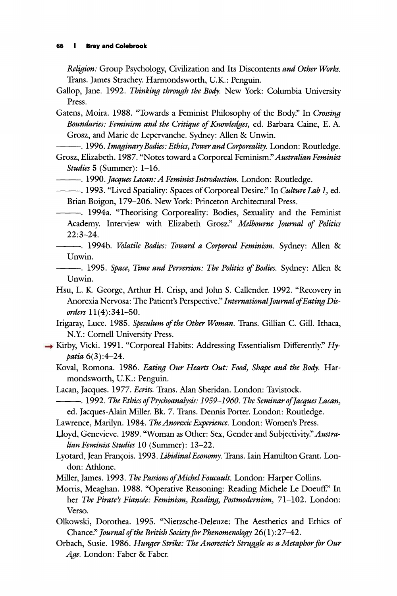**Religion: Group Psychology, Civilization and Its Discontents and Other Works. Trans. James Strachey. Harmondsworth, U.K.: Penguin.** 

- **Gallop, Jane. 1992. Thinking through the Body. New York: Columbia University Press.**
- **Gatens, Moira. 1988. "Towards a Feminist Philosophy of the Body." In Crossing Boundaries: Feminism and the Critique of Knowledges, ed. Barbara Caine, E. A. Grosz, and Marie de Lepervanche. Sydney: Allen & Unwin.**
- **. 1996. ImaginaryBodies: Ethics, Powerand Corporeality. London: Routledge. Grosz, Elizabeth. 1987. "Notes toward a Corporeal Feminism."Australian Feminist Studies 5 (Summer): 1-16.** 
	- **1990. JacquesLacan: A FeministIntroduction. London: Routledge.**

**. 1993. "Lived Spatiality: Spaces of Corporeal Desire." In Culture Lab 1, ed. Brian Boigon, 179-206. New York: Princeton Architectural Press.** 

**. 1994a. "Theorising Corporeality: Bodies, Sexuality and the Feminist Academy. Interview with Elizabeth Grosz." Melbourne Journal of Politics 22:3-24.** 

**. 1994b. Volatile Bodies: Toward a Corporeal Feminism. Sydney: Allen & Unwin.** 

**. 1995. Space, Time and Perversion: The Politics of Bodies. Sydney: Allen & Unwin.** 

- **Hsu, L. K. George, Arthur H. Crisp, and John S. Callender. 1992. "Recovery in**  Anorexia Nervosa: The Patient's Perspective." International Journal of Eating Dis**orders 11(4):341-50.**
- **Irigaray, Luce. 1985. Speculum of the Other Woman. Trans. Gillian C. Gill. Ithaca, N.Y.: Cornell University Press.**
- **Kirby, Vicki. 1991. "Corporeal Habits: Addressing Essentialism Differently." Hypatia 6(3):4-24.** 
	- **Koval, Romona. 1986. Eating Our Hearts Out: Food, Shape and the Body. Harmondsworth, U.K.: Penguin.**
	- **Lacan, Jacques. 1977. Ecrits. Trans. Alan Sheridan. London: Tavistock.**

- Lawrence, Marilyn. 1984. The Anorexic Experience. London: Women's Press.
- **Iloyd, Genevieve. 1989. "Woman as Other: Sex, Gender and Subjectivity."Australian Feminist Studies 10 (Summer): 13-22.**
- Lyotard, Jean François. 1993. Libidinal Economy. Trans. Iain Hamilton Grant. Lon**don: Athlone.**
- **Miller, James. 1993. The Passions ofMichel Foucault. London: Harper Collins.**
- **Morris, Meaghan. 1988. "Operative Reasoning: Reading Michele Le Doeuff." In**  her The Pirate's Fiancée: Feminism, Reading, Postmodernism, 71-102. London: **Verso.**
- **Olkowski, Dorothea. 1995. "Nietzsche-Deleuze: The Aesthetics and Ethics of**  Chance." Journal of the British Society for Phenomenology 26(1):27-42.
- Orbach, Susie. 1986. Hunger Strike: The Anorectic's Struggle as a Metaphor for Our **Age. London: Faber & Faber.**

**<sup>1992.</sup> The Ethics of Psychoanalysis: 1959-1960. The Seminar ofJacques Lacan,** 

**ed. Jacques-Alain Miller. Bk. 7. Trans. Dennis Porter. London: Routledge.**